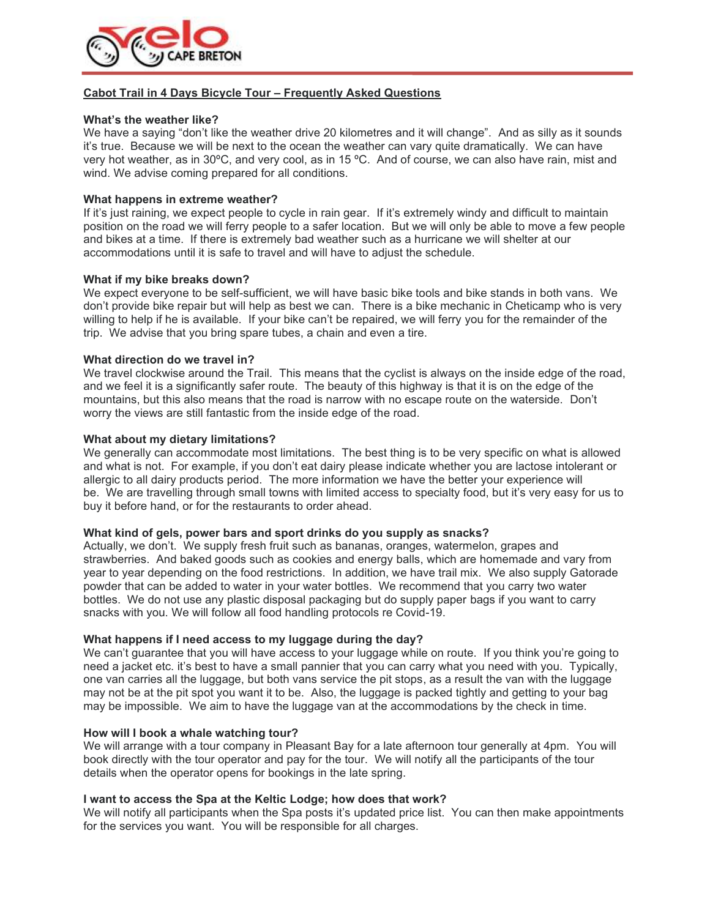

# **Cabot Trail in 4 Days Bicycle Tour – Frequently Asked Questions**

## **What's the weather like?**

We have a saying "don't like the weather drive 20 kilometres and it will change". And as silly as it sounds it's true. Because we will be next to the ocean the weather can vary quite dramatically. We can have very hot weather, as in 30ºC, and very cool, as in 15 ºC. And of course, we can also have rain, mist and wind. We advise coming prepared for all conditions.

## **What happens in extreme weather?**

If it's just raining, we expect people to cycle in rain gear. If it's extremely windy and difficult to maintain position on the road we will ferry people to a safer location. But we will only be able to move a few people and bikes at a time. If there is extremely bad weather such as a hurricane we will shelter at our accommodations until it is safe to travel and will have to adjust the schedule.

## **What if my bike breaks down?**

We expect everyone to be self-sufficient, we will have basic bike tools and bike stands in both vans. We don't provide bike repair but will help as best we can. There is a bike mechanic in Cheticamp who is very willing to help if he is available. If your bike can't be repaired, we will ferry you for the remainder of the trip. We advise that you bring spare tubes, a chain and even a tire.

## **What direction do we travel in?**

We travel clockwise around the Trail. This means that the cyclist is always on the inside edge of the road, and we feel it is a significantly safer route. The beauty of this highway is that it is on the edge of the mountains, but this also means that the road is narrow with no escape route on the waterside. Don't worry the views are still fantastic from the inside edge of the road.

## **What about my dietary limitations?**

We generally can accommodate most limitations. The best thing is to be very specific on what is allowed and what is not. For example, if you don't eat dairy please indicate whether you are lactose intolerant or allergic to all dairy products period. The more information we have the better your experience will be. We are travelling through small towns with limited access to specialty food, but it's very easy for us to buy it before hand, or for the restaurants to order ahead.

#### **What kind of gels, power bars and sport drinks do you supply as snacks?**

Actually, we don't. We supply fresh fruit such as bananas, oranges, watermelon, grapes and strawberries. And baked goods such as cookies and energy balls, which are homemade and vary from year to year depending on the food restrictions. In addition, we have trail mix. We also supply Gatorade powder that can be added to water in your water bottles. We recommend that you carry two water bottles. We do not use any plastic disposal packaging but do supply paper bags if you want to carry snacks with you. We will follow all food handling protocols re Covid-19.

#### **What happens if I need access to my luggage during the day?**

We can't guarantee that you will have access to your luggage while on route. If you think you're going to need a jacket etc. it's best to have a small pannier that you can carry what you need with you. Typically, one van carries all the luggage, but both vans service the pit stops, as a result the van with the luggage may not be at the pit spot you want it to be. Also, the luggage is packed tightly and getting to your bag may be impossible. We aim to have the luggage van at the accommodations by the check in time.

#### **How will I book a whale watching tour?**

We will arrange with a tour company in Pleasant Bay for a late afternoon tour generally at 4pm. You will book directly with the tour operator and pay for the tour. We will notify all the participants of the tour details when the operator opens for bookings in the late spring.

## **I want to access the Spa at the Keltic Lodge; how does that work?**

We will notify all participants when the Spa posts it's updated price list. You can then make appointments for the services you want. You will be responsible for all charges.